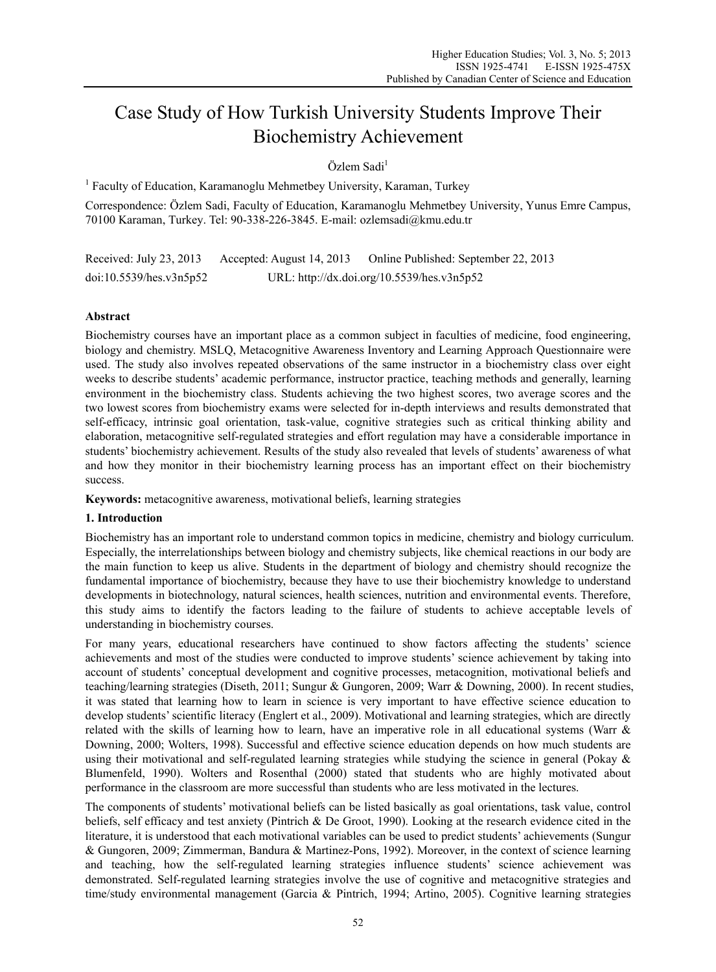# Case Study of How Turkish University Students Improve Their Biochemistry Achievement

Özlem Sadi<sup>1</sup>

<sup>1</sup> Faculty of Education, Karamanoglu Mehmetbey University, Karaman, Turkey

Correspondence: Özlem Sadi, Faculty of Education, Karamanoglu Mehmetbey University, Yunus Emre Campus, 70100 Karaman, Turkey. Tel: 90-338-226-3845. E-mail: ozlemsadi@kmu.edu.tr

Received: July 23, 2013 Accepted: August 14, 2013 Online Published: September 22, 2013 doi:10.5539/hes.v3n5p52 URL: http://dx.doi.org/10.5539/hes.v3n5p52

# **Abstract**

Biochemistry courses have an important place as a common subject in faculties of medicine, food engineering, biology and chemistry. MSLQ, Metacognitive Awareness Inventory and Learning Approach Questionnaire were used. The study also involves repeated observations of the same instructor in a biochemistry class over eight weeks to describe students' academic performance, instructor practice, teaching methods and generally, learning environment in the biochemistry class. Students achieving the two highest scores, two average scores and the two lowest scores from biochemistry exams were selected for in-depth interviews and results demonstrated that self-efficacy, intrinsic goal orientation, task-value, cognitive strategies such as critical thinking ability and elaboration, metacognitive self-regulated strategies and effort regulation may have a considerable importance in students' biochemistry achievement. Results of the study also revealed that levels of students' awareness of what and how they monitor in their biochemistry learning process has an important effect on their biochemistry success.

**Keywords:** metacognitive awareness, motivational beliefs, learning strategies

# **1. Introduction**

Biochemistry has an important role to understand common topics in medicine, chemistry and biology curriculum. Especially, the interrelationships between biology and chemistry subjects, like chemical reactions in our body are the main function to keep us alive. Students in the department of biology and chemistry should recognize the fundamental importance of biochemistry, because they have to use their biochemistry knowledge to understand developments in biotechnology, natural sciences, health sciences, nutrition and environmental events. Therefore, this study aims to identify the factors leading to the failure of students to achieve acceptable levels of understanding in biochemistry courses.

For many years, educational researchers have continued to show factors affecting the students' science achievements and most of the studies were conducted to improve students' science achievement by taking into account of students' conceptual development and cognitive processes, metacognition, motivational beliefs and teaching/learning strategies (Diseth, 2011; Sungur & Gungoren, 2009; Warr & Downing, 2000). In recent studies, it was stated that learning how to learn in science is very important to have effective science education to develop students' scientific literacy (Englert et al., 2009). Motivational and learning strategies, which are directly related with the skills of learning how to learn, have an imperative role in all educational systems (Warr & Downing, 2000; Wolters, 1998). Successful and effective science education depends on how much students are using their motivational and self-regulated learning strategies while studying the science in general (Pokay & Blumenfeld, 1990). Wolters and Rosenthal (2000) stated that students who are highly motivated about performance in the classroom are more successful than students who are less motivated in the lectures.

The components of students' motivational beliefs can be listed basically as goal orientations, task value, control beliefs, self efficacy and test anxiety (Pintrich & De Groot, 1990). Looking at the research evidence cited in the literature, it is understood that each motivational variables can be used to predict students' achievements (Sungur & Gungoren, 2009; Zimmerman, Bandura & Martinez-Pons, 1992). Moreover, in the context of science learning and teaching, how the self-regulated learning strategies influence students' science achievement was demonstrated. Self-regulated learning strategies involve the use of cognitive and metacognitive strategies and time/study environmental management (Garcia & Pintrich, 1994; Artino, 2005). Cognitive learning strategies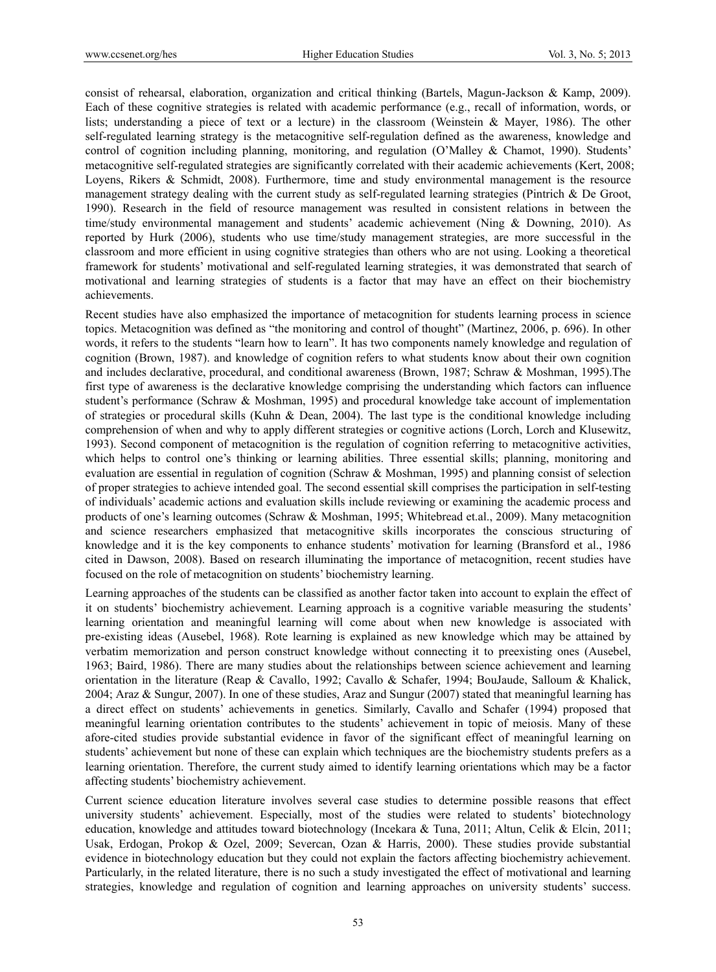consist of rehearsal, elaboration, organization and critical thinking (Bartels, Magun-Jackson & Kamp, 2009). Each of these cognitive strategies is related with academic performance (e.g., recall of information, words, or lists; understanding a piece of text or a lecture) in the classroom (Weinstein & Mayer, 1986). The other self-regulated learning strategy is the metacognitive self-regulation defined as the awareness, knowledge and control of cognition including planning, monitoring, and regulation (O'Malley & Chamot, 1990). Students' metacognitive self-regulated strategies are significantly correlated with their academic achievements (Kert, 2008; Loyens, Rikers & Schmidt, 2008). Furthermore, time and study environmental management is the resource management strategy dealing with the current study as self-regulated learning strategies (Pintrich & De Groot, 1990). Research in the field of resource management was resulted in consistent relations in between the time/study environmental management and students' academic achievement (Ning & Downing, 2010). As reported by Hurk (2006), students who use time/study management strategies, are more successful in the classroom and more efficient in using cognitive strategies than others who are not using. Looking a theoretical framework for students' motivational and self-regulated learning strategies, it was demonstrated that search of motivational and learning strategies of students is a factor that may have an effect on their biochemistry achievements.

Recent studies have also emphasized the importance of metacognition for students learning process in science topics. Metacognition was defined as "the monitoring and control of thought" (Martinez, 2006, p. 696). In other words, it refers to the students "learn how to learn". It has two components namely knowledge and regulation of cognition (Brown, 1987). and knowledge of cognition refers to what students know about their own cognition and includes declarative, procedural, and conditional awareness (Brown, 1987; Schraw & Moshman, 1995).The first type of awareness is the declarative knowledge comprising the understanding which factors can influence student's performance (Schraw & Moshman, 1995) and procedural knowledge take account of implementation of strategies or procedural skills (Kuhn & Dean, 2004). The last type is the conditional knowledge including comprehension of when and why to apply different strategies or cognitive actions (Lorch, Lorch and Klusewitz, 1993). Second component of metacognition is the regulation of cognition referring to metacognitive activities, which helps to control one's thinking or learning abilities. Three essential skills; planning, monitoring and evaluation are essential in regulation of cognition (Schraw & Moshman, 1995) and planning consist of selection of proper strategies to achieve intended goal. The second essential skill comprises the participation in self-testing of individuals' academic actions and evaluation skills include reviewing or examining the academic process and products of one's learning outcomes (Schraw & Moshman, 1995; Whitebread et.al., 2009). Many metacognition and science researchers emphasized that metacognitive skills incorporates the conscious structuring of knowledge and it is the key components to enhance students' motivation for learning (Bransford et al., 1986 cited in Dawson, 2008). Based on research illuminating the importance of metacognition, recent studies have focused on the role of metacognition on students' biochemistry learning.

Learning approaches of the students can be classified as another factor taken into account to explain the effect of it on students' biochemistry achievement. Learning approach is a cognitive variable measuring the students' learning orientation and meaningful learning will come about when new knowledge is associated with pre-existing ideas (Ausebel, 1968). Rote learning is explained as new knowledge which may be attained by verbatim memorization and person construct knowledge without connecting it to preexisting ones (Ausebel, 1963; Baird, 1986). There are many studies about the relationships between science achievement and learning orientation in the literature (Reap & Cavallo, 1992; Cavallo & Schafer, 1994; BouJaude, Salloum & Khalick, 2004; Araz & Sungur, 2007). In one of these studies, Araz and Sungur (2007) stated that meaningful learning has a direct effect on students' achievements in genetics. Similarly, Cavallo and Schafer (1994) proposed that meaningful learning orientation contributes to the students' achievement in topic of meiosis. Many of these afore-cited studies provide substantial evidence in favor of the significant effect of meaningful learning on students' achievement but none of these can explain which techniques are the biochemistry students prefers as a learning orientation. Therefore, the current study aimed to identify learning orientations which may be a factor affecting students' biochemistry achievement.

Current science education literature involves several case studies to determine possible reasons that effect university students' achievement. Especially, most of the studies were related to students' biotechnology education, knowledge and attitudes toward biotechnology (Incekara & Tuna, 2011; Altun, Celik & Elcin, 2011; Usak, Erdogan, Prokop & Ozel, 2009; Severcan, Ozan & Harris, 2000). These studies provide substantial evidence in biotechnology education but they could not explain the factors affecting biochemistry achievement. Particularly, in the related literature, there is no such a study investigated the effect of motivational and learning strategies, knowledge and regulation of cognition and learning approaches on university students' success.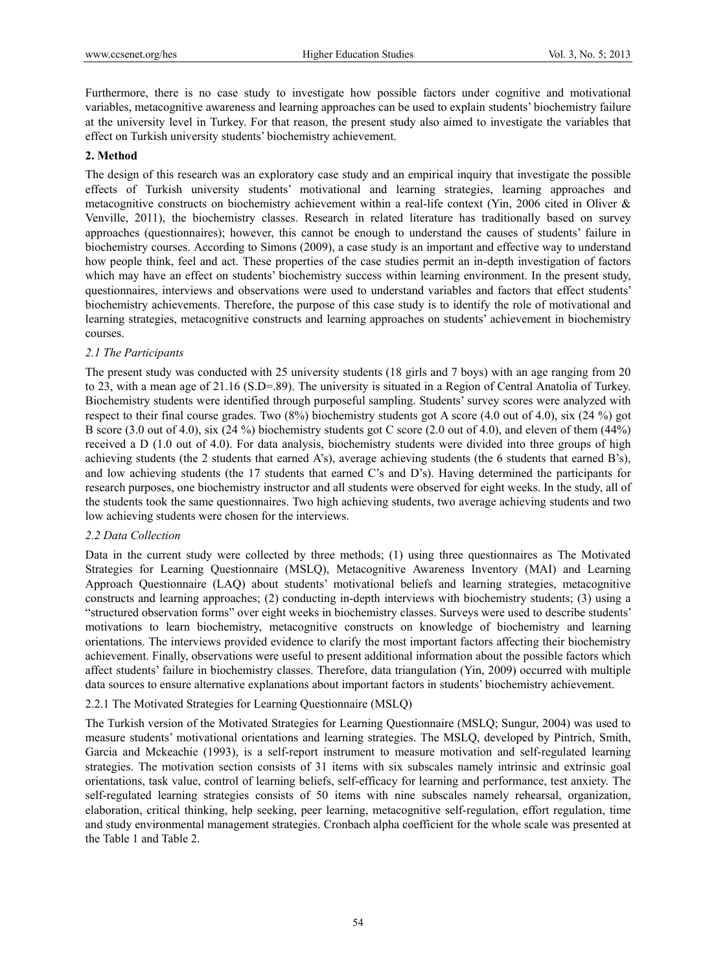Furthermore, there is no case study to investigate how possible factors under cognitive and motivational variables, metacognitive awareness and learning approaches can be used to explain students' biochemistry failure at the university level in Turkey. For that reason, the present study also aimed to investigate the variables that effect on Turkish university students' biochemistry achievement.

## **2. Method**

The design of this research was an exploratory case study and an empirical inquiry that investigate the possible effects of Turkish university students' motivational and learning strategies, learning approaches and metacognitive constructs on biochemistry achievement within a real-life context (Yin, 2006 cited in Oliver & Venville, 2011), the biochemistry classes. Research in related literature has traditionally based on survey approaches (questionnaires); however, this cannot be enough to understand the causes of students' failure in biochemistry courses. According to Simons (2009), a case study is an important and effective way to understand how people think, feel and act. These properties of the case studies permit an in-depth investigation of factors which may have an effect on students' biochemistry success within learning environment. In the present study, questionnaires, interviews and observations were used to understand variables and factors that effect students' biochemistry achievements. Therefore, the purpose of this case study is to identify the role of motivational and learning strategies, metacognitive constructs and learning approaches on students' achievement in biochemistry courses.

## *2.1 The Participants*

The present study was conducted with 25 university students (18 girls and 7 boys) with an age ranging from 20 to 23, with a mean age of 21.16 (S.D=.89). The university is situated in a Region of Central Anatolia of Turkey. Biochemistry students were identified through purposeful sampling. Students' survey scores were analyzed with respect to their final course grades. Two (8%) biochemistry students got A score (4.0 out of 4.0), six (24 %) got B score (3.0 out of 4.0), six (24 %) biochemistry students got C score (2.0 out of 4.0), and eleven of them (44%) received a D (1.0 out of 4.0). For data analysis, biochemistry students were divided into three groups of high achieving students (the 2 students that earned A's), average achieving students (the 6 students that earned B's), and low achieving students (the 17 students that earned C's and D's). Having determined the participants for research purposes, one biochemistry instructor and all students were observed for eight weeks. In the study, all of the students took the same questionnaires. Two high achieving students, two average achieving students and two low achieving students were chosen for the interviews.

## *2.2 Data Collection*

Data in the current study were collected by three methods; (1) using three questionnaires as The Motivated Strategies for Learning Questionnaire (MSLQ), Metacognitive Awareness Inventory (MAI) and Learning Approach Questionnaire (LAQ) about students' motivational beliefs and learning strategies, metacognitive constructs and learning approaches; (2) conducting in-depth interviews with biochemistry students; (3) using a "structured observation forms" over eight weeks in biochemistry classes. Surveys were used to describe students' motivations to learn biochemistry, metacognitive constructs on knowledge of biochemistry and learning orientations. The interviews provided evidence to clarify the most important factors affecting their biochemistry achievement. Finally, observations were useful to present additional information about the possible factors which affect students' failure in biochemistry classes. Therefore, data triangulation (Yin, 2009) occurred with multiple data sources to ensure alternative explanations about important factors in students' biochemistry achievement.

## 2.2.1 The Motivated Strategies for Learning Questionnaire (MSLQ)

The Turkish version of the Motivated Strategies for Learning Questionnaire (MSLQ; Sungur, 2004) was used to measure students' motivational orientations and learning strategies. The MSLQ, developed by Pintrich, Smith, Garcia and Mckeachie (1993), is a self-report instrument to measure motivation and self-regulated learning strategies. The motivation section consists of 31 items with six subscales namely intrinsic and extrinsic goal orientations, task value, control of learning beliefs, self-efficacy for learning and performance, test anxiety. The self-regulated learning strategies consists of 50 items with nine subscales namely rehearsal, organization, elaboration, critical thinking, help seeking, peer learning, metacognitive self-regulation, effort regulation, time and study environmental management strategies. Cronbach alpha coefficient for the whole scale was presented at the Table 1 and Table 2.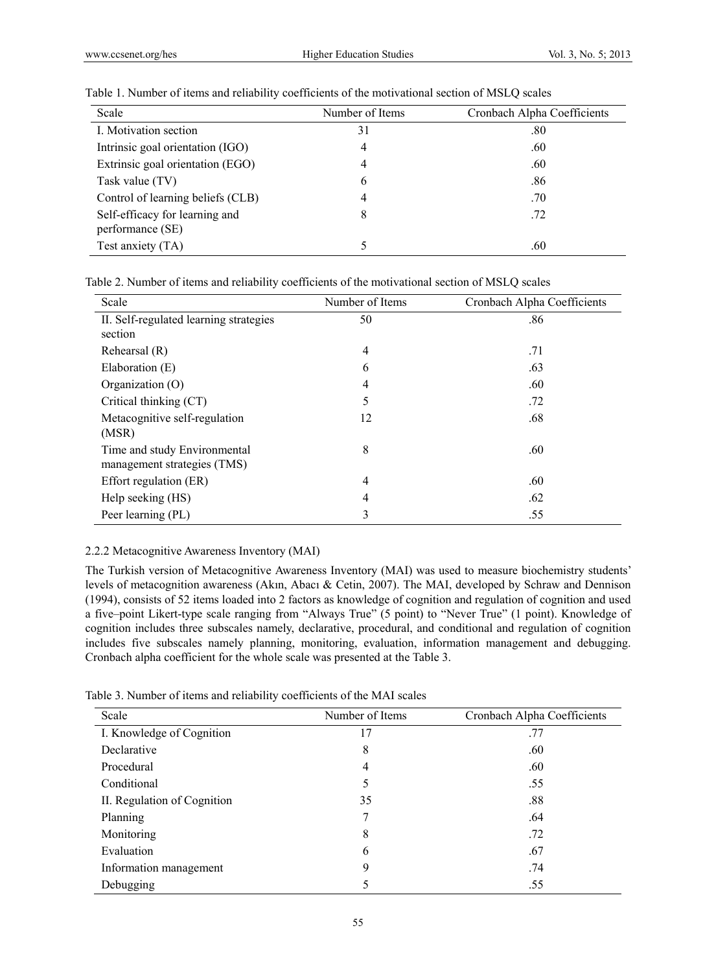| Scale                                              | Number of Items | Cronbach Alpha Coefficients |
|----------------------------------------------------|-----------------|-----------------------------|
| I. Motivation section                              | 31              | .80                         |
| Intrinsic goal orientation (IGO)                   | 4               | .60                         |
| Extrinsic goal orientation (EGO)                   | 4               | .60                         |
| Task value (TV)                                    | 6               | .86                         |
| Control of learning beliefs (CLB)                  | 4               | .70                         |
| Self-efficacy for learning and<br>performance (SE) | 8               | .72                         |
| Test anxiety (TA)                                  |                 | .60                         |

Table 1. Number of items and reliability coefficients of the motivational section of MSLQ scales

Table 2. Number of items and reliability coefficients of the motivational section of MSLQ scales

| Scale                                                       | Number of Items | Cronbach Alpha Coefficients |
|-------------------------------------------------------------|-----------------|-----------------------------|
| II. Self-regulated learning strategies<br>section           | 50              | .86                         |
| Rehearsal (R)                                               | $\overline{4}$  | .71                         |
| Elaboration (E)                                             | 6               | .63                         |
| Organization $(O)$                                          | $\overline{4}$  | .60                         |
| Critical thinking (CT)                                      | 5               | .72                         |
| Metacognitive self-regulation<br>(MSR)                      | 12              | .68                         |
| Time and study Environmental<br>management strategies (TMS) | 8               | .60                         |
| Effort regulation (ER)                                      | $\overline{4}$  | .60                         |
| Help seeking (HS)                                           | $\overline{4}$  | .62                         |
| Peer learning (PL)                                          | 3               | .55                         |

## 2.2.2 Metacognitive Awareness Inventory (MAI)

The Turkish version of Metacognitive Awareness Inventory (MAI) was used to measure biochemistry students' levels of metacognition awareness (Akın, Abacı & Cetin, 2007). The MAI, developed by Schraw and Dennison (1994), consists of 52 items loaded into 2 factors as knowledge of cognition and regulation of cognition and used a five–point Likert-type scale ranging from "Always True" (5 point) to "Never True" (1 point). Knowledge of cognition includes three subscales namely, declarative, procedural, and conditional and regulation of cognition includes five subscales namely planning, monitoring, evaluation, information management and debugging. Cronbach alpha coefficient for the whole scale was presented at the Table 3.

| Scale                       | Number of Items | Cronbach Alpha Coefficients |
|-----------------------------|-----------------|-----------------------------|
| I. Knowledge of Cognition   | 17              | .77                         |
| Declarative                 | 8               | .60                         |
| Procedural                  | 4               | .60                         |
| Conditional                 | 5               | .55                         |
| II. Regulation of Cognition | 35              | .88                         |
| Planning                    | 7               | .64                         |
| Monitoring                  | 8               | .72                         |
| Evaluation                  | 6               | .67                         |
| Information management      | 9               | .74                         |
| Debugging                   | 5               | .55                         |

Table 3. Number of items and reliability coefficients of the MAI scales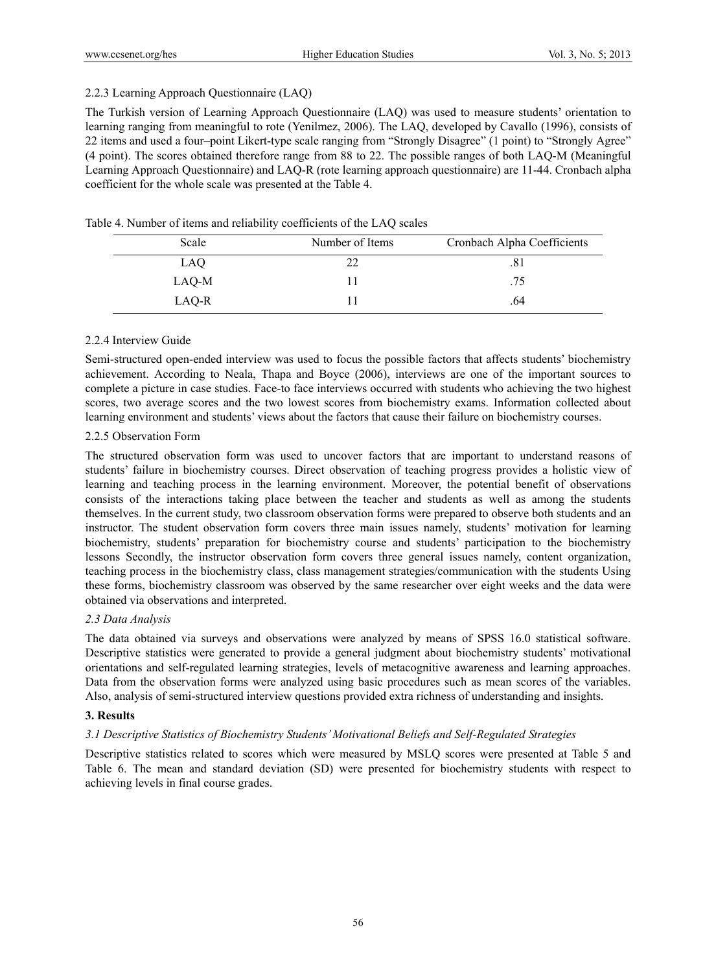## 2.2.3 Learning Approach Questionnaire (LAQ)

The Turkish version of Learning Approach Questionnaire (LAQ) was used to measure students' orientation to learning ranging from meaningful to rote (Yenilmez, 2006). The LAQ, developed by Cavallo (1996), consists of 22 items and used a four–point Likert-type scale ranging from "Strongly Disagree" (1 point) to "Strongly Agree" (4 point). The scores obtained therefore range from 88 to 22. The possible ranges of both LAQ-M (Meaningful Learning Approach Questionnaire) and LAQ-R (rote learning approach questionnaire) are 11-44. Cronbach alpha coefficient for the whole scale was presented at the Table 4.

| Table 4. Number of items and reliability coefficients of the LAQ scales |  |  |
|-------------------------------------------------------------------------|--|--|
|-------------------------------------------------------------------------|--|--|

| Scale | Number of Items | Cronbach Alpha Coefficients |
|-------|-----------------|-----------------------------|
| LAQ   |                 | .81                         |
| LAO-M |                 | .75                         |
| LAQ-R |                 | .64                         |

## 2.2.4 Interview Guide

Semi-structured open-ended interview was used to focus the possible factors that affects students' biochemistry achievement. According to Neala, Thapa and Boyce (2006), interviews are one of the important sources to complete a picture in case studies. Face-to face interviews occurred with students who achieving the two highest scores, two average scores and the two lowest scores from biochemistry exams. Information collected about learning environment and students' views about the factors that cause their failure on biochemistry courses.

## 2.2.5 Observation Form

The structured observation form was used to uncover factors that are important to understand reasons of students' failure in biochemistry courses. Direct observation of teaching progress provides a holistic view of learning and teaching process in the learning environment. Moreover, the potential benefit of observations consists of the interactions taking place between the teacher and students as well as among the students themselves. In the current study, two classroom observation forms were prepared to observe both students and an instructor. The student observation form covers three main issues namely, students' motivation for learning biochemistry, students' preparation for biochemistry course and students' participation to the biochemistry lessons Secondly, the instructor observation form covers three general issues namely, content organization, teaching process in the biochemistry class, class management strategies/communication with the students Using these forms, biochemistry classroom was observed by the same researcher over eight weeks and the data were obtained via observations and interpreted.

## *2.3 Data Analysis*

The data obtained via surveys and observations were analyzed by means of SPSS 16.0 statistical software. Descriptive statistics were generated to provide a general judgment about biochemistry students' motivational orientations and self-regulated learning strategies, levels of metacognitive awareness and learning approaches. Data from the observation forms were analyzed using basic procedures such as mean scores of the variables. Also, analysis of semi-structured interview questions provided extra richness of understanding and insights.

## **3. Results**

## *3.1 Descriptive Statistics of Biochemistry Students' Motivational Beliefs and Self-Regulated Strategies*

Descriptive statistics related to scores which were measured by MSLQ scores were presented at Table 5 and Table 6. The mean and standard deviation (SD) were presented for biochemistry students with respect to achieving levels in final course grades.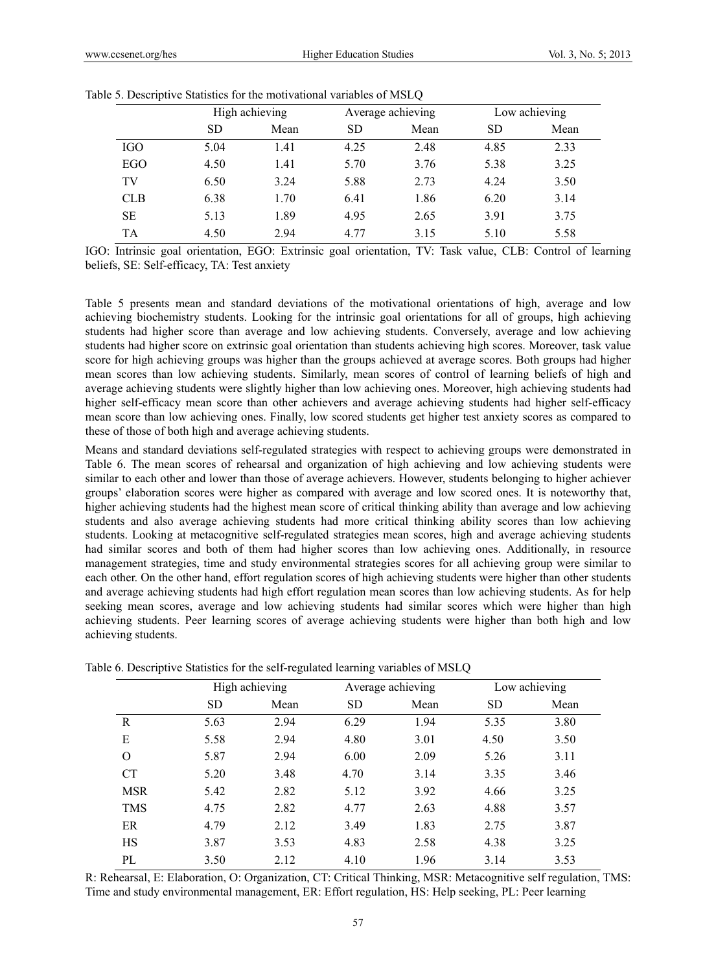|            |           | High achieving |           | Average achieving |           | Low achieving |  |
|------------|-----------|----------------|-----------|-------------------|-----------|---------------|--|
|            | <b>SD</b> | Mean           | <b>SD</b> | Mean              | <b>SD</b> | Mean          |  |
| <b>IGO</b> | 5.04      | 1.41           | 4.25      | 2.48              | 4.85      | 2.33          |  |
| EGO        | 4.50      | 1.41           | 5.70      | 3.76              | 5.38      | 3.25          |  |
| TV         | 6.50      | 3.24           | 5.88      | 2.73              | 4.24      | 3.50          |  |
| <b>CLB</b> | 6.38      | 1.70           | 6.41      | 1.86              | 6.20      | 3.14          |  |
| <b>SE</b>  | 5.13      | 1.89           | 4.95      | 2.65              | 3.91      | 3.75          |  |
| TА         | 4.50      | 2.94           | 4.77      | 3.15              | 5.10      | 5.58          |  |

| Table 5. Descriptive Statistics for the motivational variables of MSLQ |  |  |  |  |  |
|------------------------------------------------------------------------|--|--|--|--|--|
|------------------------------------------------------------------------|--|--|--|--|--|

IGO: Intrinsic goal orientation, EGO: Extrinsic goal orientation, TV: Task value, CLB: Control of learning beliefs, SE: Self-efficacy, TA: Test anxiety

Table 5 presents mean and standard deviations of the motivational orientations of high, average and low achieving biochemistry students. Looking for the intrinsic goal orientations for all of groups, high achieving students had higher score than average and low achieving students. Conversely, average and low achieving students had higher score on extrinsic goal orientation than students achieving high scores. Moreover, task value score for high achieving groups was higher than the groups achieved at average scores. Both groups had higher mean scores than low achieving students. Similarly, mean scores of control of learning beliefs of high and average achieving students were slightly higher than low achieving ones. Moreover, high achieving students had higher self-efficacy mean score than other achievers and average achieving students had higher self-efficacy mean score than low achieving ones. Finally, low scored students get higher test anxiety scores as compared to these of those of both high and average achieving students.

Means and standard deviations self-regulated strategies with respect to achieving groups were demonstrated in Table 6. The mean scores of rehearsal and organization of high achieving and low achieving students were similar to each other and lower than those of average achievers. However, students belonging to higher achiever groups' elaboration scores were higher as compared with average and low scored ones. It is noteworthy that, higher achieving students had the highest mean score of critical thinking ability than average and low achieving students and also average achieving students had more critical thinking ability scores than low achieving students. Looking at metacognitive self-regulated strategies mean scores, high and average achieving students had similar scores and both of them had higher scores than low achieving ones. Additionally, in resource management strategies, time and study environmental strategies scores for all achieving group were similar to each other. On the other hand, effort regulation scores of high achieving students were higher than other students and average achieving students had high effort regulation mean scores than low achieving students. As for help seeking mean scores, average and low achieving students had similar scores which were higher than high achieving students. Peer learning scores of average achieving students were higher than both high and low achieving students.

|            | High achieving |      |           | Average achieving |           | Low achieving |  |
|------------|----------------|------|-----------|-------------------|-----------|---------------|--|
|            | <b>SD</b>      | Mean | <b>SD</b> | Mean              | <b>SD</b> | Mean          |  |
| R          | 5.63           | 2.94 | 6.29      | 1.94              | 5.35      | 3.80          |  |
| E          | 5.58           | 2.94 | 4.80      | 3.01              | 4.50      | 3.50          |  |
| $\Omega$   | 5.87           | 2.94 | 6.00      | 2.09              | 5.26      | 3.11          |  |
| CT         | 5.20           | 3.48 | 4.70      | 3.14              | 3.35      | 3.46          |  |
| <b>MSR</b> | 5.42           | 2.82 | 5.12      | 3.92              | 4.66      | 3.25          |  |
| <b>TMS</b> | 4.75           | 2.82 | 4.77      | 2.63              | 4.88      | 3.57          |  |
| ER         | 4.79           | 2.12 | 3.49      | 1.83              | 2.75      | 3.87          |  |
| <b>HS</b>  | 3.87           | 3.53 | 4.83      | 2.58              | 4.38      | 3.25          |  |
| PI.        | 3.50           | 2.12 | 4.10      | 1.96              | 3.14      | 3.53          |  |

Table 6. Descriptive Statistics for the self-regulated learning variables of MSLQ

R: Rehearsal, E: Elaboration, O: Organization, CT: Critical Thinking, MSR: Metacognitive self regulation, TMS: Time and study environmental management, ER: Effort regulation, HS: Help seeking, PL: Peer learning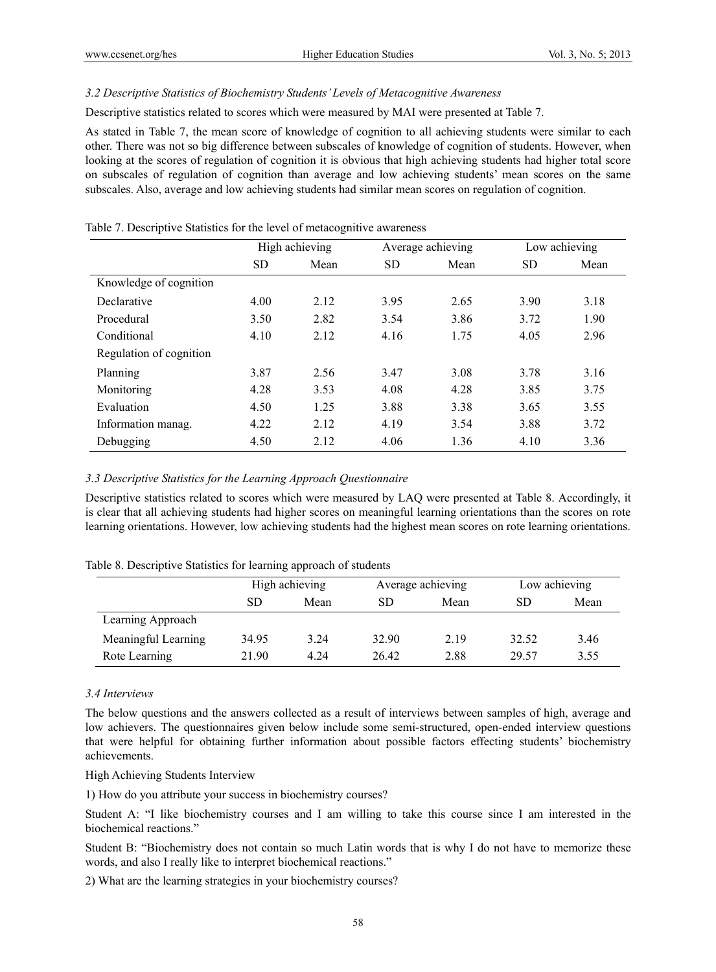## *3.2 Descriptive Statistics of Biochemistry Students' Levels of Metacognitive Awareness*

Descriptive statistics related to scores which were measured by MAI were presented at Table 7.

As stated in Table 7, the mean score of knowledge of cognition to all achieving students were similar to each other. There was not so big difference between subscales of knowledge of cognition of students. However, when looking at the scores of regulation of cognition it is obvious that high achieving students had higher total score on subscales of regulation of cognition than average and low achieving students' mean scores on the same subscales. Also, average and low achieving students had similar mean scores on regulation of cognition.

|                         | High achieving |      |           | Average achieving | Low achieving |      |
|-------------------------|----------------|------|-----------|-------------------|---------------|------|
|                         | <b>SD</b>      | Mean | <b>SD</b> | Mean              | <b>SD</b>     | Mean |
| Knowledge of cognition  |                |      |           |                   |               |      |
| Declarative             | 4.00           | 2.12 | 3.95      | 2.65              | 3.90          | 3.18 |
| Procedural              | 3.50           | 2.82 | 3.54      | 3.86              | 3.72          | 1.90 |
| Conditional             | 4.10           | 2.12 | 4.16      | 1.75              | 4.05          | 2.96 |
| Regulation of cognition |                |      |           |                   |               |      |
| Planning                | 3.87           | 2.56 | 3.47      | 3.08              | 3.78          | 3.16 |
| Monitoring              | 4.28           | 3.53 | 4.08      | 4.28              | 3.85          | 3.75 |
| Evaluation              | 4.50           | 1.25 | 3.88      | 3.38              | 3.65          | 3.55 |
| Information manag.      | 4.22           | 2.12 | 4.19      | 3.54              | 3.88          | 3.72 |
| Debugging               | 4.50           | 2.12 | 4.06      | 1.36              | 4.10          | 3.36 |

Table 7. Descriptive Statistics for the level of metacognitive awareness

## *3.3 Descriptive Statistics for the Learning Approach Questionnaire*

Descriptive statistics related to scores which were measured by LAQ were presented at Table 8. Accordingly, it is clear that all achieving students had higher scores on meaningful learning orientations than the scores on rote learning orientations. However, low achieving students had the highest mean scores on rote learning orientations.

| Table 8. Descriptive Statistics for learning approach of students |  |  |  |
|-------------------------------------------------------------------|--|--|--|
|                                                                   |  |  |  |

|                     | High achieving |      |       | Average achieving | Low achieving |      |
|---------------------|----------------|------|-------|-------------------|---------------|------|
|                     | SD             | Mean | SD    | Mean              | SD            | Mean |
| Learning Approach   |                |      |       |                   |               |      |
| Meaningful Learning | 34.95          | 3.24 | 32.90 | 2.19              | 32.52         | 3.46 |
| Rote Learning       | 21.90          | 4.24 | 26.42 | 2.88              | 29.57         | 3.55 |

## *3.4 Interviews*

The below questions and the answers collected as a result of interviews between samples of high, average and low achievers. The questionnaires given below include some semi-structured, open-ended interview questions that were helpful for obtaining further information about possible factors effecting students' biochemistry achievements.

High Achieving Students Interview

1) How do you attribute your success in biochemistry courses?

Student A: "I like biochemistry courses and I am willing to take this course since I am interested in the biochemical reactions."

Student B: "Biochemistry does not contain so much Latin words that is why I do not have to memorize these words, and also I really like to interpret biochemical reactions."

2) What are the learning strategies in your biochemistry courses?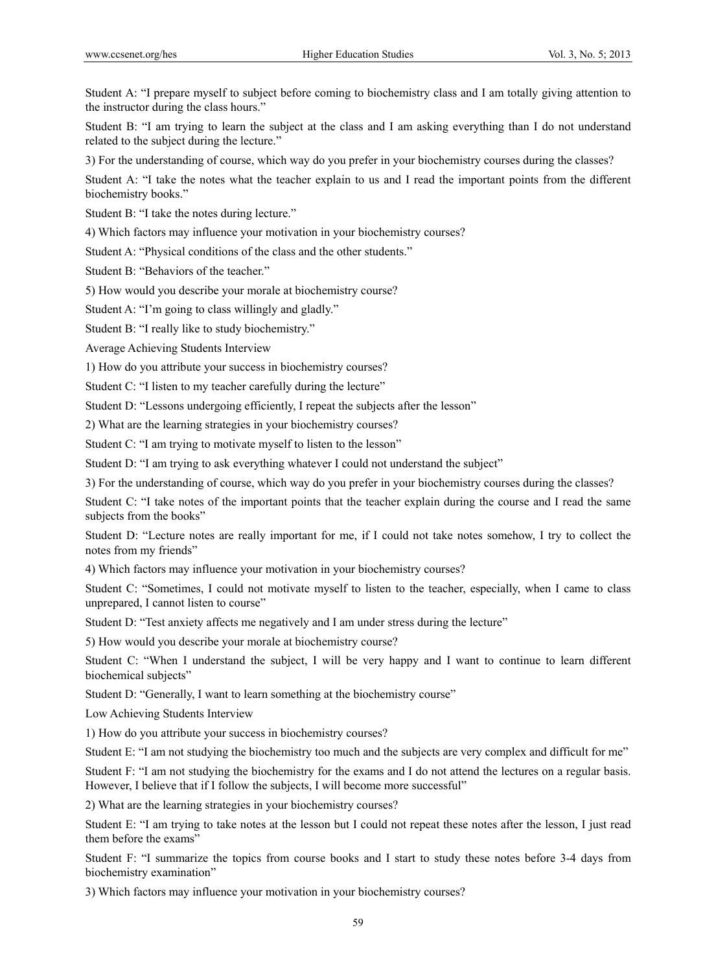Student A: "I prepare myself to subject before coming to biochemistry class and I am totally giving attention to the instructor during the class hours."

Student B: "I am trying to learn the subject at the class and I am asking everything than I do not understand related to the subject during the lecture."

3) For the understanding of course, which way do you prefer in your biochemistry courses during the classes?

Student A: "I take the notes what the teacher explain to us and I read the important points from the different biochemistry books."

Student B: "I take the notes during lecture."

4) Which factors may influence your motivation in your biochemistry courses?

Student A: "Physical conditions of the class and the other students."

Student B: "Behaviors of the teacher."

5) How would you describe your morale at biochemistry course?

Student A: "I'm going to class willingly and gladly."

Student B: "I really like to study biochemistry."

Average Achieving Students Interview

1) How do you attribute your success in biochemistry courses?

Student C: "I listen to my teacher carefully during the lecture"

Student D: "Lessons undergoing efficiently, I repeat the subjects after the lesson"

2) What are the learning strategies in your biochemistry courses?

Student C: "I am trying to motivate myself to listen to the lesson"

Student D: "I am trying to ask everything whatever I could not understand the subject"

3) For the understanding of course, which way do you prefer in your biochemistry courses during the classes?

Student C: "I take notes of the important points that the teacher explain during the course and I read the same subjects from the books"

Student D: "Lecture notes are really important for me, if I could not take notes somehow, I try to collect the notes from my friends"

4) Which factors may influence your motivation in your biochemistry courses?

Student C: "Sometimes, I could not motivate myself to listen to the teacher, especially, when I came to class unprepared, I cannot listen to course"

Student D: "Test anxiety affects me negatively and I am under stress during the lecture"

5) How would you describe your morale at biochemistry course?

Student C: "When I understand the subject, I will be very happy and I want to continue to learn different biochemical subjects"

Student D: "Generally, I want to learn something at the biochemistry course"

Low Achieving Students Interview

1) How do you attribute your success in biochemistry courses?

Student E: "I am not studying the biochemistry too much and the subjects are very complex and difficult for me"

Student F: "I am not studying the biochemistry for the exams and I do not attend the lectures on a regular basis. However, I believe that if I follow the subjects, I will become more successful"

2) What are the learning strategies in your biochemistry courses?

Student E: "I am trying to take notes at the lesson but I could not repeat these notes after the lesson, I just read them before the exams"

Student F: "I summarize the topics from course books and I start to study these notes before 3-4 days from biochemistry examination"

3) Which factors may influence your motivation in your biochemistry courses?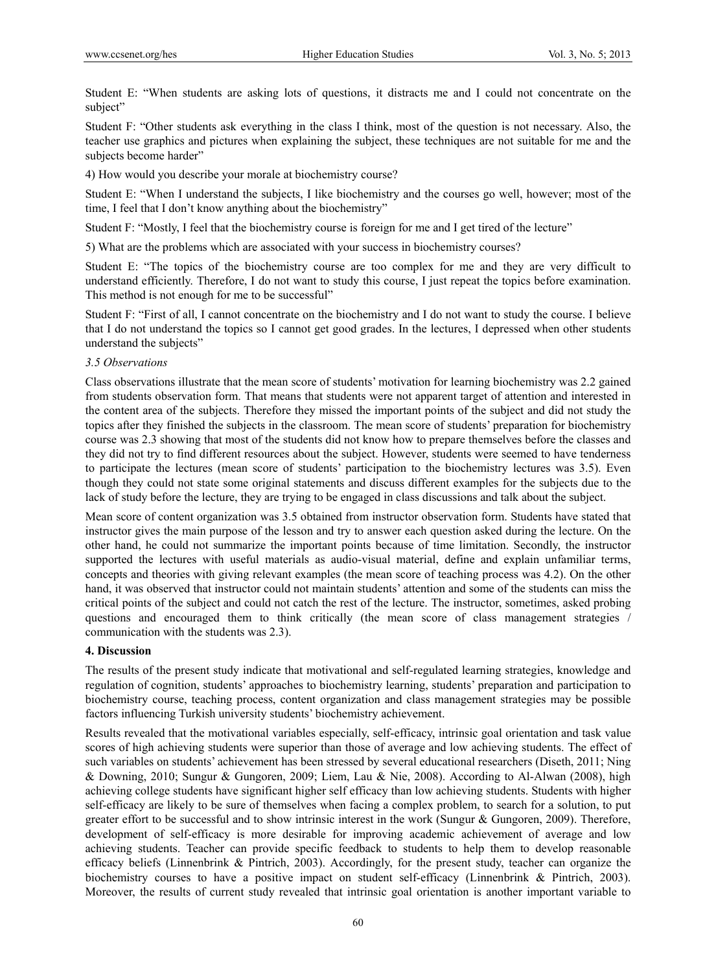Student E: "When students are asking lots of questions, it distracts me and I could not concentrate on the subject"

Student F: "Other students ask everything in the class I think, most of the question is not necessary. Also, the teacher use graphics and pictures when explaining the subject, these techniques are not suitable for me and the subjects become harder"

4) How would you describe your morale at biochemistry course?

Student E: "When I understand the subjects, I like biochemistry and the courses go well, however; most of the time, I feel that I don't know anything about the biochemistry"

Student F: "Mostly, I feel that the biochemistry course is foreign for me and I get tired of the lecture"

5) What are the problems which are associated with your success in biochemistry courses?

Student E: "The topics of the biochemistry course are too complex for me and they are very difficult to understand efficiently. Therefore, I do not want to study this course, I just repeat the topics before examination. This method is not enough for me to be successful"

Student F: "First of all, I cannot concentrate on the biochemistry and I do not want to study the course. I believe that I do not understand the topics so I cannot get good grades. In the lectures, I depressed when other students understand the subjects"

#### *3.5 Observations*

Class observations illustrate that the mean score of students' motivation for learning biochemistry was 2.2 gained from students observation form. That means that students were not apparent target of attention and interested in the content area of the subjects. Therefore they missed the important points of the subject and did not study the topics after they finished the subjects in the classroom. The mean score of students' preparation for biochemistry course was 2.3 showing that most of the students did not know how to prepare themselves before the classes and they did not try to find different resources about the subject. However, students were seemed to have tenderness to participate the lectures (mean score of students' participation to the biochemistry lectures was 3.5). Even though they could not state some original statements and discuss different examples for the subjects due to the lack of study before the lecture, they are trying to be engaged in class discussions and talk about the subject.

Mean score of content organization was 3.5 obtained from instructor observation form. Students have stated that instructor gives the main purpose of the lesson and try to answer each question asked during the lecture. On the other hand, he could not summarize the important points because of time limitation. Secondly, the instructor supported the lectures with useful materials as audio-visual material, define and explain unfamiliar terms, concepts and theories with giving relevant examples (the mean score of teaching process was 4.2). On the other hand, it was observed that instructor could not maintain students' attention and some of the students can miss the critical points of the subject and could not catch the rest of the lecture. The instructor, sometimes, asked probing questions and encouraged them to think critically (the mean score of class management strategies / communication with the students was 2.3).

## **4. Discussion**

The results of the present study indicate that motivational and self-regulated learning strategies, knowledge and regulation of cognition, students' approaches to biochemistry learning, students' preparation and participation to biochemistry course, teaching process, content organization and class management strategies may be possible factors influencing Turkish university students' biochemistry achievement.

Results revealed that the motivational variables especially, self-efficacy, intrinsic goal orientation and task value scores of high achieving students were superior than those of average and low achieving students. The effect of such variables on students' achievement has been stressed by several educational researchers (Diseth, 2011; Ning & Downing, 2010; Sungur & Gungoren, 2009; Liem, Lau & Nie, 2008). According to Al-Alwan (2008), high achieving college students have significant higher self efficacy than low achieving students. Students with higher self-efficacy are likely to be sure of themselves when facing a complex problem, to search for a solution, to put greater effort to be successful and to show intrinsic interest in the work (Sungur & Gungoren, 2009). Therefore, development of self-efficacy is more desirable for improving academic achievement of average and low achieving students. Teacher can provide specific feedback to students to help them to develop reasonable efficacy beliefs (Linnenbrink & Pintrich, 2003). Accordingly, for the present study, teacher can organize the biochemistry courses to have a positive impact on student self-efficacy (Linnenbrink & Pintrich, 2003). Moreover, the results of current study revealed that intrinsic goal orientation is another important variable to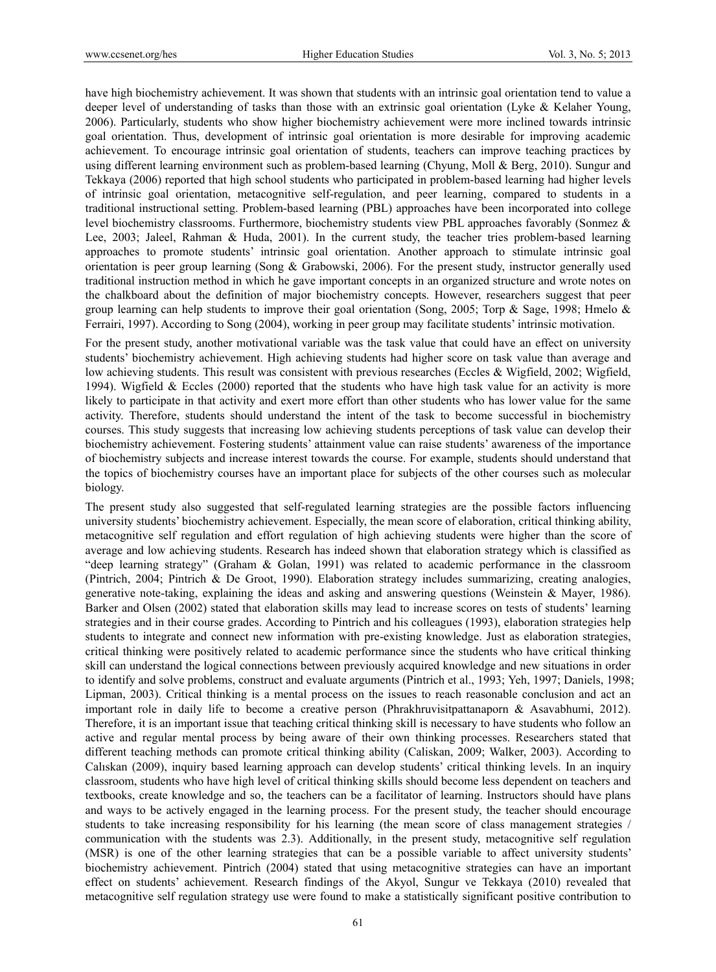have high biochemistry achievement. It was shown that students with an intrinsic goal orientation tend to value a deeper level of understanding of tasks than those with an extrinsic goal orientation (Lyke & Kelaher Young, 2006). Particularly, students who show higher biochemistry achievement were more inclined towards intrinsic goal orientation. Thus, development of intrinsic goal orientation is more desirable for improving academic achievement. To encourage intrinsic goal orientation of students, teachers can improve teaching practices by using different learning environment such as problem-based learning (Chyung, Moll & Berg, 2010). Sungur and Tekkaya (2006) reported that high school students who participated in problem-based learning had higher levels of intrinsic goal orientation, metacognitive self-regulation, and peer learning, compared to students in a traditional instructional setting. Problem-based learning (PBL) approaches have been incorporated into college level biochemistry classrooms. Furthermore, biochemistry students view PBL approaches favorably (Sonmez & Lee, 2003; Jaleel, Rahman & Huda, 2001). In the current study, the teacher tries problem-based learning approaches to promote students' intrinsic goal orientation. Another approach to stimulate intrinsic goal orientation is peer group learning (Song & Grabowski, 2006). For the present study, instructor generally used traditional instruction method in which he gave important concepts in an organized structure and wrote notes on the chalkboard about the definition of major biochemistry concepts. However, researchers suggest that peer group learning can help students to improve their goal orientation (Song, 2005; Torp & Sage, 1998; Hmelo & Ferrairi, 1997). According to Song (2004), working in peer group may facilitate students' intrinsic motivation.

For the present study, another motivational variable was the task value that could have an effect on university students' biochemistry achievement. High achieving students had higher score on task value than average and low achieving students. This result was consistent with previous researches (Eccles & Wigfield, 2002; Wigfield, 1994). Wigfield & Eccles (2000) reported that the students who have high task value for an activity is more likely to participate in that activity and exert more effort than other students who has lower value for the same activity. Therefore, students should understand the intent of the task to become successful in biochemistry courses. This study suggests that increasing low achieving students perceptions of task value can develop their biochemistry achievement. Fostering students' attainment value can raise students' awareness of the importance of biochemistry subjects and increase interest towards the course. For example, students should understand that the topics of biochemistry courses have an important place for subjects of the other courses such as molecular biology.

The present study also suggested that self-regulated learning strategies are the possible factors influencing university students' biochemistry achievement. Especially, the mean score of elaboration, critical thinking ability, metacognitive self regulation and effort regulation of high achieving students were higher than the score of average and low achieving students. Research has indeed shown that elaboration strategy which is classified as "deep learning strategy" (Graham & Golan, 1991) was related to academic performance in the classroom (Pintrich, 2004; Pintrich & De Groot, 1990). Elaboration strategy includes summarizing, creating analogies, generative note-taking, explaining the ideas and asking and answering questions (Weinstein & Mayer, 1986). Barker and Olsen (2002) stated that elaboration skills may lead to increase scores on tests of students' learning strategies and in their course grades. According to Pintrich and his colleagues (1993), elaboration strategies help students to integrate and connect new information with pre-existing knowledge. Just as elaboration strategies, critical thinking were positively related to academic performance since the students who have critical thinking skill can understand the logical connections between previously acquired knowledge and new situations in order to identify and solve problems, construct and evaluate arguments (Pintrich et al., 1993; Yeh, 1997; Daniels, 1998; Lipman, 2003). Critical thinking is a mental process on the issues to reach reasonable conclusion and act an important role in daily life to become a creative person (Phrakhruvisitpattanaporn & Asavabhumi, 2012). Therefore, it is an important issue that teaching critical thinking skill is necessary to have students who follow an active and regular mental process by being aware of their own thinking processes. Researchers stated that different teaching methods can promote critical thinking ability (Caliskan, 2009; Walker, 2003). According to Calıskan (2009), inquiry based learning approach can develop students' critical thinking levels. In an inquiry classroom, students who have high level of critical thinking skills should become less dependent on teachers and textbooks, create knowledge and so, the teachers can be a facilitator of learning. Instructors should have plans and ways to be actively engaged in the learning process. For the present study, the teacher should encourage students to take increasing responsibility for his learning (the mean score of class management strategies / communication with the students was 2.3). Additionally, in the present study, metacognitive self regulation (MSR) is one of the other learning strategies that can be a possible variable to affect university students' biochemistry achievement. Pintrich (2004) stated that using metacognitive strategies can have an important effect on students' achievement. Research findings of the Akyol, Sungur ve Tekkaya (2010) revealed that metacognitive self regulation strategy use were found to make a statistically significant positive contribution to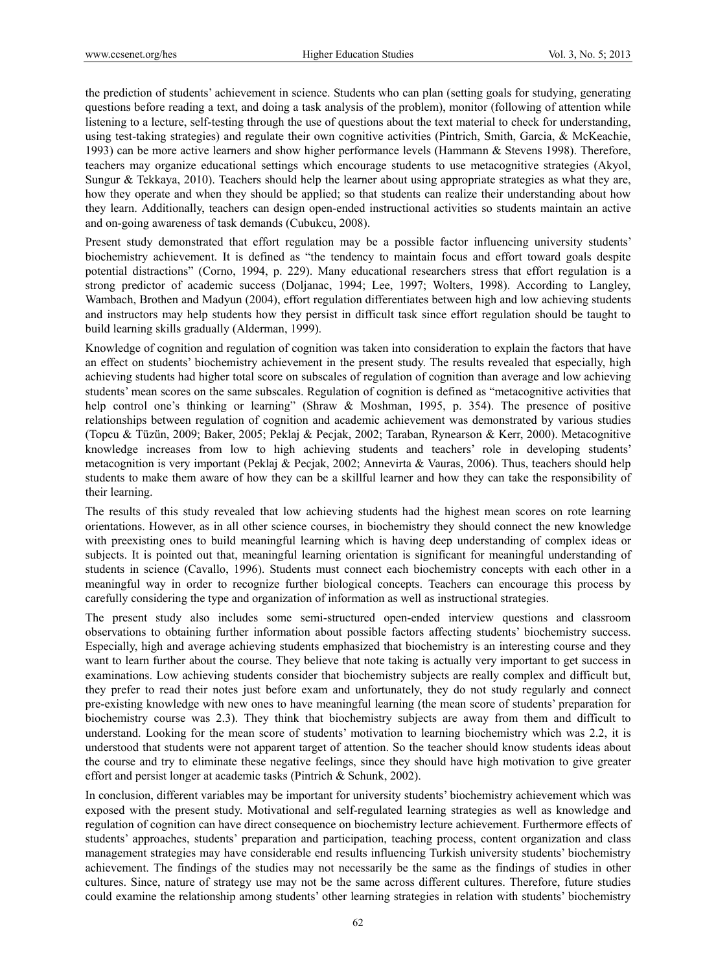the prediction of students' achievement in science. Students who can plan (setting goals for studying, generating questions before reading a text, and doing a task analysis of the problem), monitor (following of attention while listening to a lecture, self-testing through the use of questions about the text material to check for understanding, using test-taking strategies) and regulate their own cognitive activities (Pintrich, Smith, Garcia, & McKeachie, 1993) can be more active learners and show higher performance levels (Hammann & Stevens 1998). Therefore, teachers may organize educational settings which encourage students to use metacognitive strategies (Akyol, Sungur & Tekkaya, 2010). Teachers should help the learner about using appropriate strategies as what they are, how they operate and when they should be applied; so that students can realize their understanding about how they learn. Additionally, teachers can design open-ended instructional activities so students maintain an active and on-going awareness of task demands (Cubukcu, 2008).

Present study demonstrated that effort regulation may be a possible factor influencing university students' biochemistry achievement. It is defined as "the tendency to maintain focus and effort toward goals despite potential distractions" (Corno, 1994, p. 229). Many educational researchers stress that effort regulation is a strong predictor of academic success (Doljanac, 1994; Lee, 1997; Wolters, 1998). According to Langley, Wambach, Brothen and Madyun (2004), effort regulation differentiates between high and low achieving students and instructors may help students how they persist in difficult task since effort regulation should be taught to build learning skills gradually (Alderman, 1999).

Knowledge of cognition and regulation of cognition was taken into consideration to explain the factors that have an effect on students' biochemistry achievement in the present study. The results revealed that especially, high achieving students had higher total score on subscales of regulation of cognition than average and low achieving students' mean scores on the same subscales. Regulation of cognition is defined as "metacognitive activities that help control one's thinking or learning" (Shraw & Moshman, 1995, p. 354). The presence of positive relationships between regulation of cognition and academic achievement was demonstrated by various studies (Topcu & Tüzün, 2009; Baker, 2005; Peklaj & Pecjak, 2002; Taraban, Rynearson & Kerr, 2000). Metacognitive knowledge increases from low to high achieving students and teachers' role in developing students' metacognition is very important (Peklaj & Pecjak, 2002; Annevirta & Vauras, 2006). Thus, teachers should help students to make them aware of how they can be a skillful learner and how they can take the responsibility of their learning.

The results of this study revealed that low achieving students had the highest mean scores on rote learning orientations. However, as in all other science courses, in biochemistry they should connect the new knowledge with preexisting ones to build meaningful learning which is having deep understanding of complex ideas or subjects. It is pointed out that, meaningful learning orientation is significant for meaningful understanding of students in science (Cavallo, 1996). Students must connect each biochemistry concepts with each other in a meaningful way in order to recognize further biological concepts. Teachers can encourage this process by carefully considering the type and organization of information as well as instructional strategies.

The present study also includes some semi-structured open-ended interview questions and classroom observations to obtaining further information about possible factors affecting students' biochemistry success. Especially, high and average achieving students emphasized that biochemistry is an interesting course and they want to learn further about the course. They believe that note taking is actually very important to get success in examinations. Low achieving students consider that biochemistry subjects are really complex and difficult but, they prefer to read their notes just before exam and unfortunately, they do not study regularly and connect pre-existing knowledge with new ones to have meaningful learning (the mean score of students' preparation for biochemistry course was 2.3). They think that biochemistry subjects are away from them and difficult to understand. Looking for the mean score of students' motivation to learning biochemistry which was 2.2, it is understood that students were not apparent target of attention. So the teacher should know students ideas about the course and try to eliminate these negative feelings, since they should have high motivation to give greater effort and persist longer at academic tasks (Pintrich & Schunk, 2002).

In conclusion, different variables may be important for university students' biochemistry achievement which was exposed with the present study. Motivational and self-regulated learning strategies as well as knowledge and regulation of cognition can have direct consequence on biochemistry lecture achievement. Furthermore effects of students' approaches, students' preparation and participation, teaching process, content organization and class management strategies may have considerable end results influencing Turkish university students' biochemistry achievement. The findings of the studies may not necessarily be the same as the findings of studies in other cultures. Since, nature of strategy use may not be the same across different cultures. Therefore, future studies could examine the relationship among students' other learning strategies in relation with students' biochemistry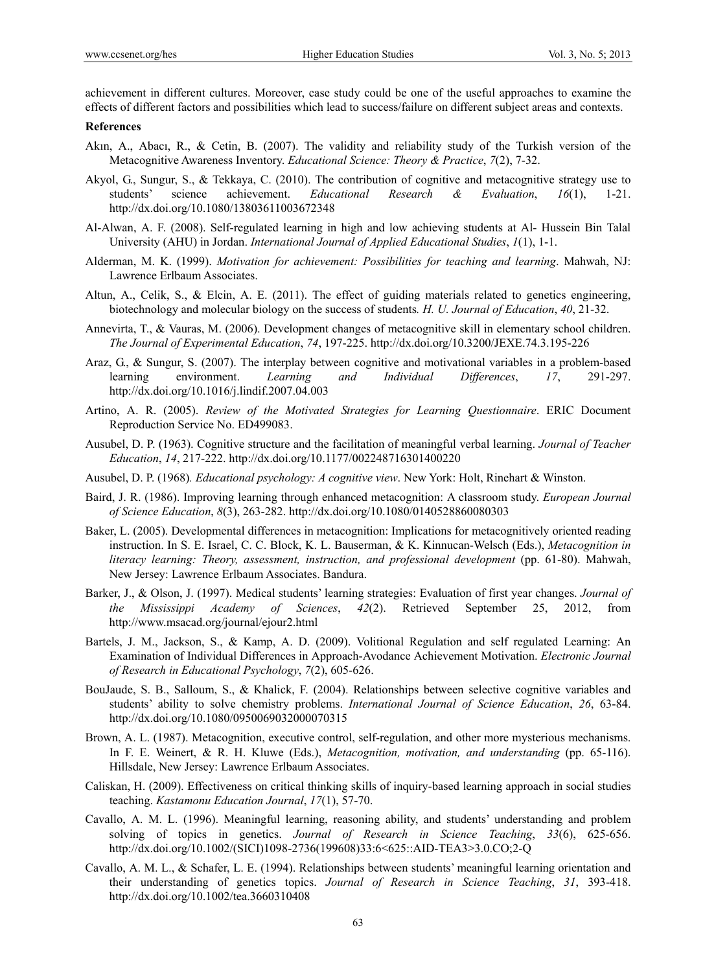achievement in different cultures. Moreover, case study could be one of the useful approaches to examine the effects of different factors and possibilities which lead to success/failure on different subject areas and contexts.

#### **References**

- Akın, A., Abacı, R., & Cetin, B. (2007). The validity and reliability study of the Turkish version of the Metacognitive Awareness Inventory. *Educational Science: Theory & Practice*, *7*(2), 7-32.
- Akyol, G., Sungur, S., & Tekkaya, C. (2010). The contribution of cognitive and metacognitive strategy use to students' science achievement. *Educational Research & Evaluation*, *16*(1), 1-21. http://dx.doi.org/10.1080/13803611003672348
- Al-Alwan, A. F. (2008). Self-regulated learning in high and low achieving students at Al- Hussein Bin Talal University (AHU) in Jordan. *International Journal of Applied Educational Studies*, *1*(1), 1-1.
- Alderman, M. K. (1999). *Motivation for achievement: Possibilities for teaching and learning*. Mahwah, NJ: Lawrence Erlbaum Associates.
- Altun, A., Celik, S., & Elcin, A. E. (2011). The effect of guiding materials related to genetics engineering, biotechnology and molecular biology on the success of students*. H. U. Journal of Education*, *40*, 21-32.
- Annevirta, T., & Vauras, M. (2006). Development changes of metacognitive skill in elementary school children. *The Journal of Experimental Education*, *74*, 197-225. http://dx.doi.org/10.3200/JEXE.74.3.195-226
- Araz, G., & Sungur, S. (2007). The interplay between cognitive and motivational variables in a problem-based learning environment. *Learning and Individual Differences*, *17*, 291-297. http://dx.doi.org/10.1016/j.lindif.2007.04.003
- Artino, A. R. (2005). *Review of the Motivated Strategies for Learning Questionnaire*. ERIC Document Reproduction Service No. ED499083.
- Ausubel, D. P. (1963). Cognitive structure and the facilitation of meaningful verbal learning. *Journal of Teacher Education*, *14*, 217-222. http://dx.doi.org/10.1177/002248716301400220
- Ausubel, D. P. (1968)*. Educational psychology: A cognitive view*. New York: Holt, Rinehart & Winston.
- Baird, J. R. (1986). Improving learning through enhanced metacognition: A classroom study. *European Journal of Science Education*, *8*(3), 263-282. http://dx.doi.org/10.1080/0140528860080303
- Baker, L. (2005). Developmental differences in metacognition: Implications for metacognitively oriented reading instruction. In S. E. Israel, C. C. Block, K. L. Bauserman, & K. Kinnucan-Welsch (Eds.), *Metacognition in literacy learning: Theory, assessment, instruction, and professional development* (pp. 61-80). Mahwah, New Jersey: Lawrence Erlbaum Associates. Bandura.
- Barker, J., & Olson, J. (1997). Medical students' learning strategies: Evaluation of first year changes. *Journal of the Mississippi Academy of Sciences*, *42*(2). Retrieved September 25, 2012, from http://www.msacad.org/journal/ejour2.html
- Bartels, J. M., Jackson, S., & Kamp, A. D. (2009). Volitional Regulation and self regulated Learning: An Examination of Individual Differences in Approach-Avodance Achievement Motivation. *Electronic Journal of Research in Educational Psychology*, *7*(2), 605-626.
- BouJaude, S. B., Salloum, S., & Khalick, F. (2004). Relationships between selective cognitive variables and students' ability to solve chemistry problems. *International Journal of Science Education*, *26*, 63-84. http://dx.doi.org/10.1080/0950069032000070315
- Brown, A. L. (1987). Metacognition, executive control, self-regulation, and other more mysterious mechanisms. In F. E. Weinert, & R. H. Kluwe (Eds.), *Metacognition, motivation, and understanding* (pp. 65-116). Hillsdale, New Jersey: Lawrence Erlbaum Associates.
- Caliskan, H. (2009). Effectiveness on critical thinking skills of inquiry-based learning approach in social studies teaching. *Kastamonu Education Journal*, *17*(1), 57-70.
- Cavallo, A. M. L. (1996). Meaningful learning, reasoning ability, and students' understanding and problem solving of topics in genetics. *Journal of Research in Science Teaching*, *33*(6), 625-656. http://dx.doi.org/10.1002/(SICI)1098-2736(199608)33:6<625::AID-TEA3>3.0.CO;2-Q
- Cavallo, A. M. L., & Schafer, L. E. (1994). Relationships between students' meaningful learning orientation and their understanding of genetics topics. *Journal of Research in Science Teaching*, *31*, 393-418. http://dx.doi.org/10.1002/tea.3660310408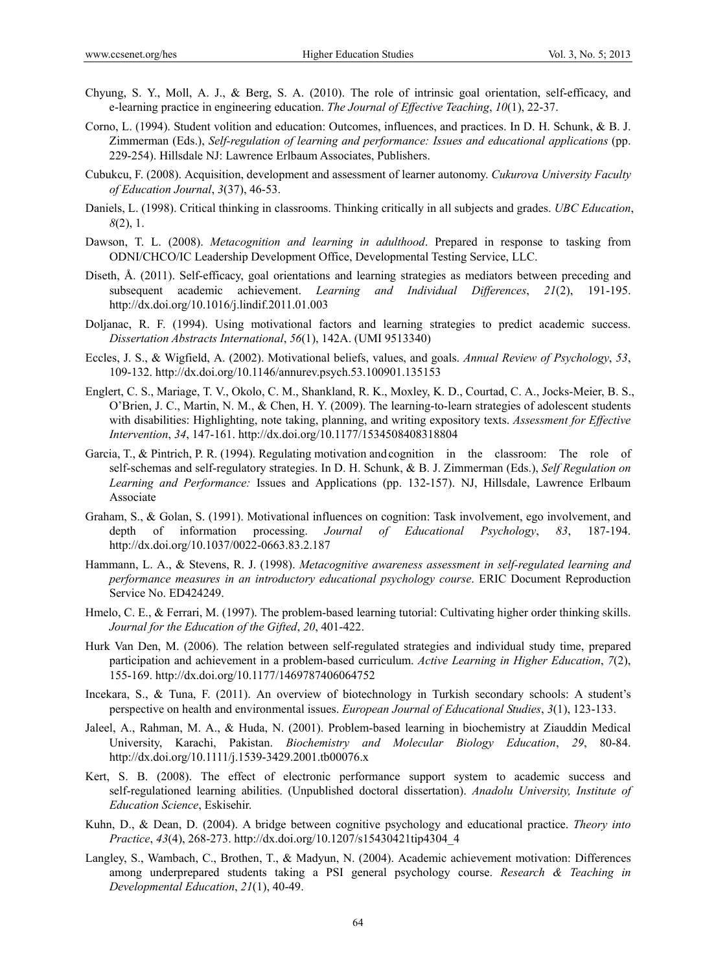- Chyung, S. Y., Moll, A. J., & Berg, S. A. (2010). The role of intrinsic goal orientation, self-efficacy, and e-learning practice in engineering education. *The Journal of Effective Teaching*, *10*(1), 22-37.
- Corno, L. (1994). Student volition and education: Outcomes, influences, and practices. In D. H. Schunk, & B. J. Zimmerman (Eds.), *Self-regulation of learning and performance: Issues and educational applications* (pp. 229-254). Hillsdale NJ: Lawrence Erlbaum Associates, Publishers.
- Cubukcu, F. (2008). Acquisition, development and assessment of learner autonomy. *Cukurova University Faculty of Education Journal*, *3*(37), 46-53.
- Daniels, L. (1998). Critical thinking in classrooms. Thinking critically in all subjects and grades. *UBC Education*, *8*(2), 1.
- Dawson, T. L. (2008). *Metacognition and learning in adulthood*. Prepared in response to tasking from ODNI/CHCO/IC Leadership Development Office, Developmental Testing Service, LLC.
- Diseth, Å. (2011). Self-efficacy, goal orientations and learning strategies as mediators between preceding and subsequent academic achievement. *Learning and Individual Differences*, *21*(2), 191-195. http://dx.doi.org/10.1016/j.lindif.2011.01.003
- Doljanac, R. F. (1994). Using motivational factors and learning strategies to predict academic success. *Dissertation Abstracts International*, *56*(1), 142A. (UMI 9513340)
- Eccles, J. S., & Wigfield, A. (2002). Motivational beliefs, values, and goals. *Annual Review of Psychology*, *53*, 109-132. http://dx.doi.org/10.1146/annurev.psych.53.100901.135153
- Englert, C. S., Mariage, T. V., Okolo, C. M., Shankland, R. K., Moxley, K. D., Courtad, C. A., Jocks-Meier, B. S., O'Brien, J. C., Martin, N. M., & Chen, H. Y. (2009). The learning-to-learn strategies of adolescent students with disabilities: Highlighting, note taking, planning, and writing expository texts. *Assessment for Effective Intervention*, *34*, 147-161. http://dx.doi.org/10.1177/1534508408318804
- Garcia, T., & Pintrich, P. R. (1994). Regulating motivation and cognition in the classroom: The role of self-schemas and self-regulatory strategies. In D. H. Schunk, & B. J. Zimmerman (Eds.), *Self Regulation on Learning and Performance:* Issues and Applications (pp. 132-157). NJ, Hillsdale, Lawrence Erlbaum Associate
- Graham, S., & Golan, S. (1991). Motivational influences on cognition: Task involvement, ego involvement, and depth of information processing. *Journal of Educational Psychology*, *83*, 187-194. http://dx.doi.org/10.1037/0022-0663.83.2.187
- Hammann, L. A., & Stevens, R. J. (1998). *Metacognitive awareness assessment in self-regulated learning and performance measures in an introductory educational psychology course*. ERIC Document Reproduction Service No. ED424249.
- Hmelo, C. E., & Ferrari, M. (1997). The problem-based learning tutorial: Cultivating higher order thinking skills. *Journal for the Education of the Gifted*, *20*, 401-422.
- Hurk Van Den, M. (2006). The relation between self-regulated strategies and individual study time, prepared participation and achievement in a problem-based curriculum. *Active Learning in Higher Education*, *7*(2), 155-169. http://dx.doi.org/10.1177/1469787406064752
- Incekara, S., & Tuna, F. (2011). An overview of biotechnology in Turkish secondary schools: A student's perspective on health and environmental issues. *European Journal of Educational Studies*, *3*(1), 123-133.
- Jaleel, A., Rahman, M. A., & Huda, N. (2001). Problem-based learning in biochemistry at Ziauddin Medical University, Karachi, Pakistan. *Biochemistry and Molecular Biology Education*, *29*, 80-84. http://dx.doi.org/10.1111/j.1539-3429.2001.tb00076.x
- Kert, S. B. (2008). The effect of electronic performance support system to academic success and self-regulationed learning abilities. (Unpublished doctoral dissertation). *Anadolu University, Institute of Education Science*, Eskisehir.
- Kuhn, D., & Dean, D. (2004). A bridge between cognitive psychology and educational practice. *Theory into Practice*, *43*(4), 268-273. http://dx.doi.org/10.1207/s15430421tip4304\_4
- Langley, S., Wambach, C., Brothen, T., & Madyun, N. (2004). Academic achievement motivation: Differences among underprepared students taking a PSI general psychology course. *Research & Teaching in Developmental Education*, *21*(1), 40-49.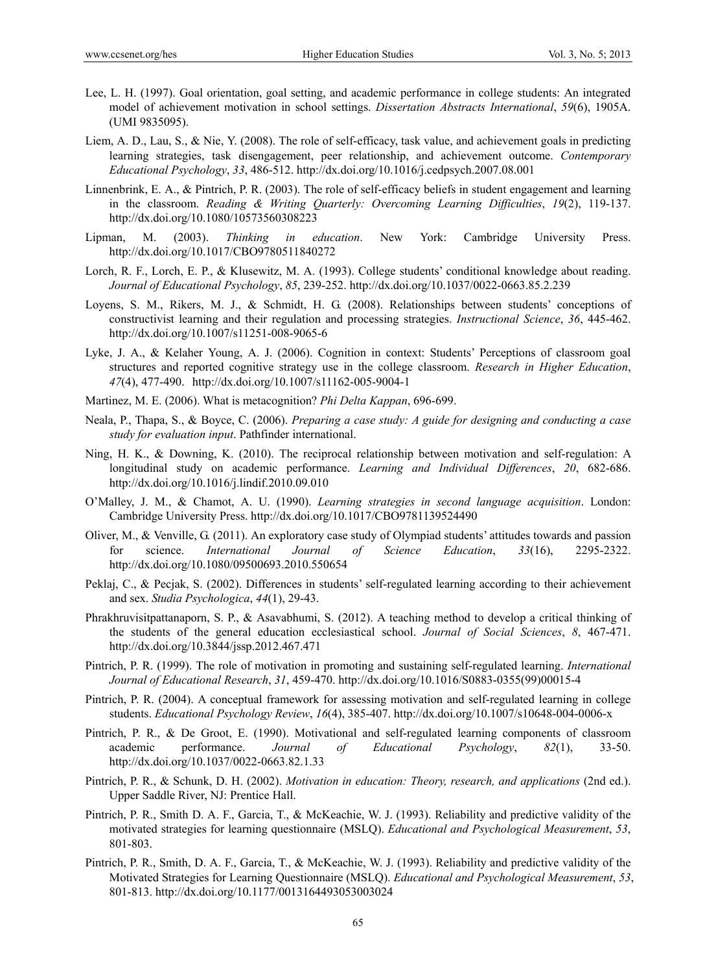- Lee, L. H. (1997). Goal orientation, goal setting, and academic performance in college students: An integrated model of achievement motivation in school settings. *Dissertation Abstracts International*, *59*(6), 1905A. (UMI 9835095).
- Liem, A. D., Lau, S., & Nie, Y. (2008). The role of self-efficacy, task value, and achievement goals in predicting learning strategies, task disengagement, peer relationship, and achievement outcome. *Contemporary Educational Psychology*, *33*, 486-512. http://dx.doi.org/10.1016/j.cedpsych.2007.08.001
- Linnenbrink, E. A., & Pintrich, P. R. (2003). The role of self-efficacy beliefs in student engagement and learning in the classroom. *Reading & Writing Quarterly: Overcoming Learning Difficulties*, *19*(2), 119-137. http://dx.doi.org/10.1080/10573560308223
- Lipman, M. (2003). *Thinking in education*. New York: Cambridge University Press. http://dx.doi.org/10.1017/CBO9780511840272
- Lorch, R. F., Lorch, E. P., & Klusewitz, M. A. (1993). College students' conditional knowledge about reading. *Journal of Educational Psychology*, *85*, 239-252. http://dx.doi.org/10.1037/0022-0663.85.2.239
- Loyens, S. M., Rikers, M. J., & Schmidt, H. G. (2008). Relationships between students' conceptions of constructivist learning and their regulation and processing strategies. *Instructional Science*, *36*, 445-462. http://dx.doi.org/10.1007/s11251-008-9065-6
- Lyke, J. A., & Kelaher Young, A. J. (2006). Cognition in context: Students' Perceptions of classroom goal structures and reported cognitive strategy use in the college classroom. *Research in Higher Education*, *47*(4), 477-490. http://dx.doi.org/10.1007/s11162-005-9004-1
- Martinez, M. E. (2006). What is metacognition? *Phi Delta Kappan*, 696-699.
- Neala, P., Thapa, S., & Boyce, C. (2006). *Preparing a case study: A guide for designing and conducting a case study for evaluation input*. Pathfinder international.
- Ning, H. K., & Downing, K. (2010). The reciprocal relationship between motivation and self-regulation: A longitudinal study on academic performance. *Learning and Individual Differences*, *20*, 682-686. http://dx.doi.org/10.1016/j.lindif.2010.09.010
- O'Malley, J. M., & Chamot, A. U. (1990). *Learning strategies in second language acquisition*. London: Cambridge University Press. http://dx.doi.org/10.1017/CBO9781139524490
- Oliver, M., & Venville, G. (2011). An exploratory case study of Olympiad students' attitudes towards and passion for science. *International Journal of Science Education*, *33*(16), 2295-2322. http://dx.doi.org/10.1080/09500693.2010.550654
- Peklaj, C., & Pecjak, S. (2002). Differences in students' self-regulated learning according to their achievement and sex. *Studia Psychologica*, *44*(1), 29-43.
- Phrakhruvisitpattanaporn, S. P., & Asavabhumi, S. (2012). A teaching method to develop a critical thinking of the students of the general education ecclesiastical school. *Journal of Social Sciences*, *8*, 467-471. http://dx.doi.org/10.3844/jssp.2012.467.471
- Pintrich, P. R. (1999). The role of motivation in promoting and sustaining self-regulated learning. *International Journal of Educational Research*, *31*, 459-470. http://dx.doi.org/10.1016/S0883-0355(99)00015-4
- Pintrich, P. R. (2004). A conceptual framework for assessing motivation and self-regulated learning in college students. *Educational Psychology Review*, *16*(4), 385-407. http://dx.doi.org/10.1007/s10648-004-0006-x
- Pintrich, P. R., & De Groot, E. (1990). Motivational and self-regulated learning components of classroom academic performance. *Journal of Educational Psychology*, *82*(1), 33-50. http://dx.doi.org/10.1037/0022-0663.82.1.33
- Pintrich, P. R., & Schunk, D. H. (2002). *Motivation in education: Theory, research, and applications* (2nd ed.). Upper Saddle River, NJ: Prentice Hall.
- Pintrich, P. R., Smith D. A. F., Garcia, T., & McKeachie, W. J. (1993). Reliability and predictive validity of the motivated strategies for learning questionnaire (MSLQ). *Educational and Psychological Measurement*, *53*, 801-803.
- Pintrich, P. R., Smith, D. A. F., Garcia, T., & McKeachie, W. J. (1993). Reliability and predictive validity of the Motivated Strategies for Learning Questionnaire (MSLQ). *Educational and Psychological Measurement*, *53*, 801-813. http://dx.doi.org/10.1177/0013164493053003024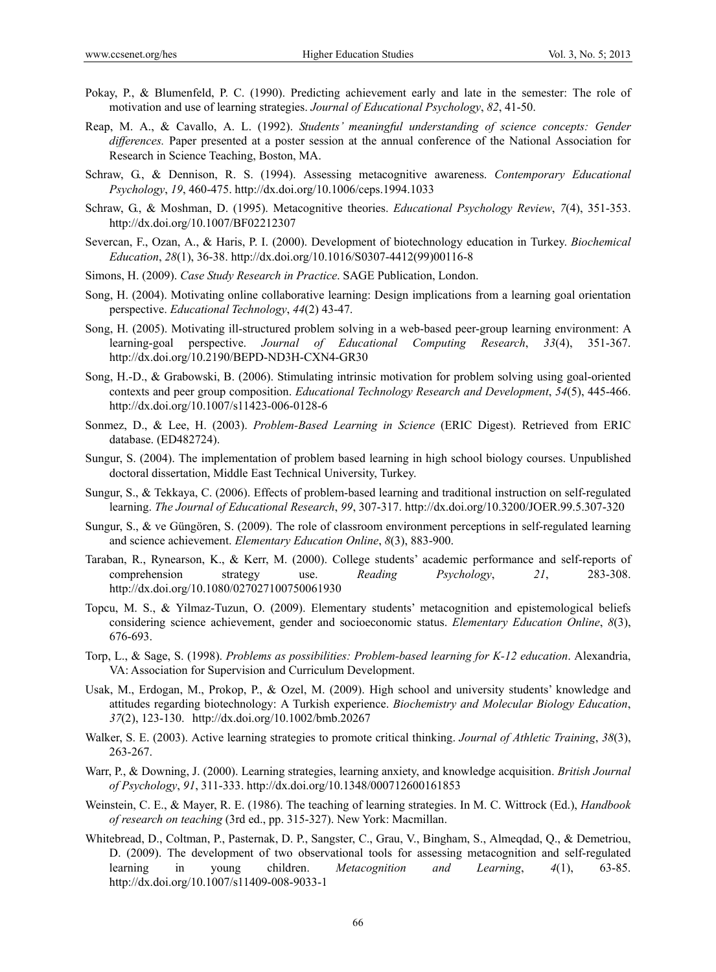- Pokay, P., & Blumenfeld, P. C. (1990). Predicting achievement early and late in the semester: The role of motivation and use of learning strategies. *Journal of Educational Psychology*, *82*, 41-50.
- Reap, M. A., & Cavallo, A. L. (1992). *Students' meaningful understanding of science concepts: Gender differences.* Paper presented at a poster session at the annual conference of the National Association for Research in Science Teaching, Boston, MA.
- Schraw, G., & Dennison, R. S. (1994). Assessing metacognitive awareness. *Contemporary Educational Psychology*, *19*, 460-475. http://dx.doi.org/10.1006/ceps.1994.1033
- Schraw, G., & Moshman, D. (1995). Metacognitive theories. *Educational Psychology Review*, *7*(4), 351-353. http://dx.doi.org/10.1007/BF02212307
- Severcan, F., Ozan, A., & Haris, P. I. (2000). Development of biotechnology education in Turkey. *Biochemical Education*, *28*(1), 36-38. http://dx.doi.org/10.1016/S0307-4412(99)00116-8
- Simons, H. (2009). *Case Study Research in Practice*. SAGE Publication, London.
- Song, H. (2004). Motivating online collaborative learning: Design implications from a learning goal orientation perspective. *Educational Technology*, *44*(2) 43-47.
- Song, H. (2005). Motivating ill-structured problem solving in a web-based peer-group learning environment: A learning-goal perspective. *Journal of Educational Computing Research*, *33*(4), 351-367. http://dx.doi.org/10.2190/BEPD-ND3H-CXN4-GR30
- Song, H.-D., & Grabowski, B. (2006). Stimulating intrinsic motivation for problem solving using goal-oriented contexts and peer group composition. *Educational Technology Research and Development*, *54*(5), 445-466. http://dx.doi.org/10.1007/s11423-006-0128-6
- Sonmez, D., & Lee, H. (2003). *Problem-Based Learning in Science* (ERIC Digest). Retrieved from ERIC database. (ED482724).
- Sungur, S. (2004). The implementation of problem based learning in high school biology courses. Unpublished doctoral dissertation, Middle East Technical University, Turkey.
- Sungur, S., & Tekkaya, C. (2006). Effects of problem-based learning and traditional instruction on self-regulated learning. *The Journal of Educational Research*, *99*, 307-317. http://dx.doi.org/10.3200/JOER.99.5.307-320
- Sungur, S., & ve Güngören, S. (2009). The role of classroom environment perceptions in self-regulated learning and science achievement. *Elementary Education Online*, *8*(3), 883-900.
- Taraban, R., Rynearson, K., & Kerr, M. (2000). College students' academic performance and self-reports of comprehension strategy use. *Reading Psychology*, *21*, 283-308. http://dx.doi.org/10.1080/027027100750061930
- Topcu, M. S., & Yilmaz-Tuzun, O. (2009). Elementary students' metacognition and epistemological beliefs considering science achievement, gender and socioeconomic status. *Elementary Education Online*, *8*(3), 676-693.
- Torp, L., & Sage, S. (1998). *Problems as possibilities: Problem-based learning for K-12 education*. Alexandria, VA: Association for Supervision and Curriculum Development.
- Usak, M., Erdogan, M., Prokop, P., & Ozel, M. (2009). High school and university students' knowledge and attitudes regarding biotechnology: A Turkish experience. *Biochemistry and Molecular Biology Education*, *37*(2), 123-130. http://dx.doi.org/10.1002/bmb.20267
- Walker, S. E. (2003). Active learning strategies to promote critical thinking. *Journal of Athletic Training*, *38*(3), 263-267.
- Warr, P., & Downing, J. (2000). Learning strategies, learning anxiety, and knowledge acquisition. *British Journal of Psychology*, *91*, 311-333. http://dx.doi.org/10.1348/000712600161853
- Weinstein, C. E., & Mayer, R. E. (1986). The teaching of learning strategies. In M. C. Wittrock (Ed.), *Handbook of research on teaching* (3rd ed., pp. 315-327). New York: Macmillan.
- Whitebread, D., Coltman, P., Pasternak, D. P., Sangster, C., Grau, V., Bingham, S., Almeqdad, Q., & Demetriou, D. (2009). The development of two observational tools for assessing metacognition and self-regulated learning in young children. *Metacognition and Learning*, *4*(1), 63-85. http://dx.doi.org/10.1007/s11409-008-9033-1